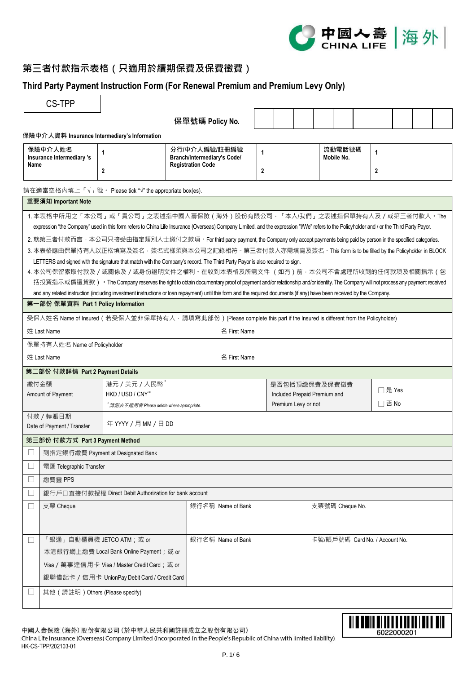

# **第三者付款指示表格(只適用於續期保費及保費徵費)**

## **Third Party Payment Instruction Form (For Renewal Premium and Premium Levy Only)**

| 保險中介人資料 Insurance Intermediary's Information<br>保險中介人姓名<br>Insurance Intermediary 's<br>Name | $\mathbf{1}$<br>$\overline{2}$                                                                                                                                                                                                                                             | 保單號碼 Policy No.<br>分行/中介人編號/註冊編號 |                                |                              |                      |  |                |  |
|----------------------------------------------------------------------------------------------|----------------------------------------------------------------------------------------------------------------------------------------------------------------------------------------------------------------------------------------------------------------------------|----------------------------------|--------------------------------|------------------------------|----------------------|--|----------------|--|
|                                                                                              |                                                                                                                                                                                                                                                                            |                                  |                                |                              |                      |  |                |  |
|                                                                                              |                                                                                                                                                                                                                                                                            |                                  |                                |                              |                      |  |                |  |
|                                                                                              |                                                                                                                                                                                                                                                                            | Branch/Intermediary's Code/      | $\mathbf{1}$                   |                              | 流動電話號碼<br>Mobile No. |  | 1              |  |
|                                                                                              |                                                                                                                                                                                                                                                                            | <b>Registration Code</b>         | $\overline{2}$                 |                              |                      |  | $\overline{2}$ |  |
|                                                                                              | 請在適當空格內填上「√」號。 Please tick "√" the appropriate box(es).                                                                                                                                                                                                                    |                                  |                                |                              |                      |  |                |  |
| 重要須知 Important Note                                                                          |                                                                                                                                                                                                                                                                            |                                  |                                |                              |                      |  |                |  |
|                                                                                              | 1. 本表格中所用之「本公司」或「貴公司」之表述指中國人壽保險 ( 海外 ) 股份有限公司 · 「本人/我們 」之表述指保單持有人及 / 或第三者付款人 · The                                                                                                                                                                                         |                                  |                                |                              |                      |  |                |  |
|                                                                                              | expression "the Company" used in this form refers to China Life Insurance (Overseas) Company Limited, and the expression "I/We" refers to the Policyholder and / or the Third Party Payor.                                                                                 |                                  |                                |                              |                      |  |                |  |
|                                                                                              | 2. 就第三者付款而言 · 本公司只接受由指定類別人士繳付之款項 · For third party payment, the Company only accept payments being paid by person in the specified categories.                                                                                                                             |                                  |                                |                              |                      |  |                |  |
|                                                                                              | 3. 本表格應由保單持有人以正楷填寫及簽名 · 簽名式樣須與本公司之記錄相符 · 第三者付款人亦需填寫及簽名 · This form is to be filled by the Policyholder in BLOCK                                                                                                                                                            |                                  |                                |                              |                      |  |                |  |
|                                                                                              | LETTERS and signed with the signature that match with the Company's record. The Third Party Payor is also required to sign.                                                                                                                                                |                                  |                                |                              |                      |  |                |  |
|                                                                                              | 4. 本公司保留索取付款及 / 或關係及 / 或身份證明文件之權利 <sup>。</sup> 在收到本表格及所需文件 (如有) 前 · 本公司不會處理所收到的任何款項及相關指示 ( 包<br>括投資指示或償還貸款) · The Company reserves the right to obtain documentary proof of payment and/or relationship and/or identity. The Company will not process any payment received |                                  |                                |                              |                      |  |                |  |
|                                                                                              | and any related instruction (including investment instructions or loan repayment) until this form and the required documents (if any) have been received by the Company.                                                                                                   |                                  |                                |                              |                      |  |                |  |
| 第一部份 保單資料 Part 1 Policy Information                                                          |                                                                                                                                                                                                                                                                            |                                  |                                |                              |                      |  |                |  |
|                                                                                              | 受保人姓名 Name of Insured (若受保人並非保單持有人, 請填寫此部份) (Please complete this part if the Insured is different from the Policyholder)                                                                                                                                                  |                                  |                                |                              |                      |  |                |  |
|                                                                                              |                                                                                                                                                                                                                                                                            |                                  |                                |                              |                      |  |                |  |
| 姓 Last Name                                                                                  |                                                                                                                                                                                                                                                                            | 名 First Name                     |                                |                              |                      |  |                |  |
| 保單持有人姓名 Name of Policyholder                                                                 |                                                                                                                                                                                                                                                                            |                                  |                                |                              |                      |  |                |  |
| 姓 Last Name                                                                                  |                                                                                                                                                                                                                                                                            | 名 First Name                     |                                |                              |                      |  |                |  |
| 第二部份 付款詳情 Part 2 Payment Details                                                             |                                                                                                                                                                                                                                                                            |                                  |                                |                              |                      |  |                |  |
| 繳付金額                                                                                         | 港元 / 美元 / 人民幣                                                                                                                                                                                                                                                              |                                  |                                |                              | 是否包括預繳保費及保費徵費        |  | □是 Yes         |  |
| Amount of Payment                                                                            | HKD / USD / CNY*                                                                                                                                                                                                                                                           |                                  |                                | Included Prepaid Premium and |                      |  | $\Box$ 否 No    |  |
|                                                                                              | 请删去不適用者 Please delete where appropriate.                                                                                                                                                                                                                                   |                                  | Premium Levy or not            |                              |                      |  |                |  |
| 付款 / 轉賬日期<br>Date of Payment / Transfer                                                      | 年YYYY / 月 MM / 日 DD                                                                                                                                                                                                                                                        |                                  |                                |                              |                      |  |                |  |
| 第三部份 付款方式 Part 3 Payment Method                                                              |                                                                                                                                                                                                                                                                            |                                  |                                |                              |                      |  |                |  |
| 到指定銀行繳費 Payment at Designated Bank                                                           |                                                                                                                                                                                                                                                                            |                                  |                                |                              |                      |  |                |  |
| 電匯 Telegraphic Transfer                                                                      |                                                                                                                                                                                                                                                                            |                                  |                                |                              |                      |  |                |  |
| 繳費靈 PPS<br>$\overline{\phantom{a}}$                                                          |                                                                                                                                                                                                                                                                            |                                  |                                |                              |                      |  |                |  |
|                                                                                              | 銀行戶口直接付款授權 Direct Debit Authorization for bank account                                                                                                                                                                                                                     |                                  |                                |                              |                      |  |                |  |
| 支票 Cheque<br>$\Box$                                                                          |                                                                                                                                                                                                                                                                            | 銀行名稱 Name of Bank                |                                |                              | 支票號碼 Cheque No.      |  |                |  |
|                                                                                              |                                                                                                                                                                                                                                                                            |                                  |                                |                              |                      |  |                |  |
|                                                                                              |                                                                                                                                                                                                                                                                            |                                  |                                |                              |                      |  |                |  |
| 「銀通」自動櫃員機 JETCO ATM; 或 or<br>⊔                                                               |                                                                                                                                                                                                                                                                            | 銀行名稱 Name of Bank                | 卡號/賬戶號碼 Card No. / Account No. |                              |                      |  |                |  |
|                                                                                              | 本港銀行網上繳費 Local Bank Online Payment; 或 or                                                                                                                                                                                                                                   |                                  |                                |                              |                      |  |                |  |
|                                                                                              | Visa / 萬事達信用卡 Visa / Master Credit Card; 或 or                                                                                                                                                                                                                              |                                  |                                |                              |                      |  |                |  |
|                                                                                              | 銀聯借記卡 / 信用卡 UnionPay Debit Card / Credit Card                                                                                                                                                                                                                              |                                  |                                |                              |                      |  |                |  |
| 其他 (請註明) Others (Please specify)                                                             |                                                                                                                                                                                                                                                                            |                                  |                                |                              |                      |  |                |  |



中國人壽保險 (海外) 股份有限公司 (於中華人民共和國註冊成立之股份有限公司) China Life Insurance (Overseas) Company Limited (incorporated in the People's Republic of China with limited liability) HK-CS-TPP/202103-01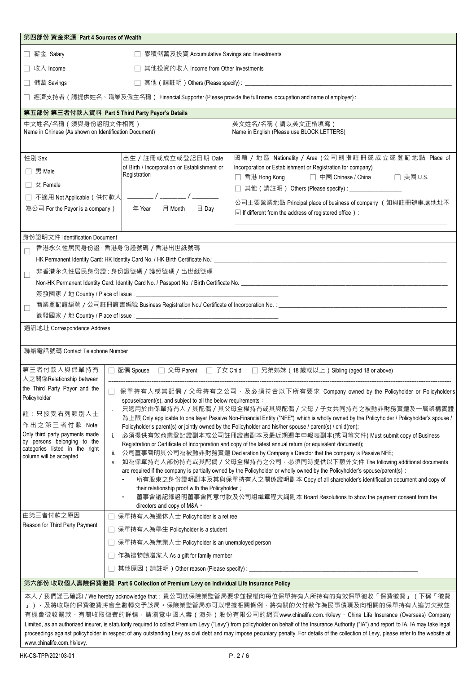| 第四部份 資金來源 Part 4 Sources of Wealth                                                                                                           |                                                                                                                                                                                                                                                                                                                                                                                                                                                                                                                                                                                                                                                                                                                                                                                                                                                                                                 |                                                                                                                                                                                                                                                                                                                                                                                |  |  |  |  |  |  |
|----------------------------------------------------------------------------------------------------------------------------------------------|-------------------------------------------------------------------------------------------------------------------------------------------------------------------------------------------------------------------------------------------------------------------------------------------------------------------------------------------------------------------------------------------------------------------------------------------------------------------------------------------------------------------------------------------------------------------------------------------------------------------------------------------------------------------------------------------------------------------------------------------------------------------------------------------------------------------------------------------------------------------------------------------------|--------------------------------------------------------------------------------------------------------------------------------------------------------------------------------------------------------------------------------------------------------------------------------------------------------------------------------------------------------------------------------|--|--|--|--|--|--|
| □ 薪金 Salary                                                                                                                                  | □ 累積儲蓄及投資 Accumulative Savings and Investments                                                                                                                                                                                                                                                                                                                                                                                                                                                                                                                                                                                                                                                                                                                                                                                                                                                  |                                                                                                                                                                                                                                                                                                                                                                                |  |  |  |  |  |  |
| □ 收入 Income<br>□ 其他投資的收入 Income from Other Investments                                                                                       |                                                                                                                                                                                                                                                                                                                                                                                                                                                                                                                                                                                                                                                                                                                                                                                                                                                                                                 |                                                                                                                                                                                                                                                                                                                                                                                |  |  |  |  |  |  |
| 儲蓄 Savings                                                                                                                                   |                                                                                                                                                                                                                                                                                                                                                                                                                                                                                                                                                                                                                                                                                                                                                                                                                                                                                                 |                                                                                                                                                                                                                                                                                                                                                                                |  |  |  |  |  |  |
|                                                                                                                                              |                                                                                                                                                                                                                                                                                                                                                                                                                                                                                                                                                                                                                                                                                                                                                                                                                                                                                                 | 經濟支持者(請提供姓名、職業及僱主名稱) Financial Supporter (Please provide the full name, occupation and name of employer) : ___________________________                                                                                                                                                                                                                                         |  |  |  |  |  |  |
| 第五部份 第三者付款人資料 Part 5 Third Party Payor's Details                                                                                             |                                                                                                                                                                                                                                                                                                                                                                                                                                                                                                                                                                                                                                                                                                                                                                                                                                                                                                 |                                                                                                                                                                                                                                                                                                                                                                                |  |  |  |  |  |  |
| 中文姓名/名稱(須與身份證明文件相同)<br>Name in Chinese (As shown on Identification Document)                                                                 |                                                                                                                                                                                                                                                                                                                                                                                                                                                                                                                                                                                                                                                                                                                                                                                                                                                                                                 | 英文姓名/名稱 (請以英文正楷填寫)<br>Name in English (Please use BLOCK LETTERS)                                                                                                                                                                                                                                                                                                               |  |  |  |  |  |  |
| 性別 Sex<br>$\Box$ 男 Male<br>$\Box \nexists x$ Female<br>□ 不適用 Not Applicable (供付款人<br>為公司 For the Payor is a company)                         | 出生 / 註冊或成立或登記日期 Date<br>of Birth / Incorporation or Establishment or<br>Registration<br>年 Year<br>月 Month<br>$\boxminus$ Day                                                                                                                                                                                                                                                                                                                                                                                                                                                                                                                                                                                                                                                                                                                                                                    | 國籍 / 地區 Nationality / Area (公司則指註冊或成立或登記地點 Place of<br>Incorporation or Establishment or Registration for company)<br>□ 香港 Hong Kong<br>□ 中國 Chinese / China<br>$\Box$ 美國 U.S.<br>□ 其他 (請註明) Others (Please specify): _________________<br>公司主要營業地點 Principal place of business of company (如與註冊辦事處地址不<br>$\boxed{5}$ If different from the address of registered office $)$ : |  |  |  |  |  |  |
| 身份證明文件 Identification Document                                                                                                               |                                                                                                                                                                                                                                                                                                                                                                                                                                                                                                                                                                                                                                                                                                                                                                                                                                                                                                 |                                                                                                                                                                                                                                                                                                                                                                                |  |  |  |  |  |  |
| Г<br>$\Box$<br>通訊地址 Correspondence Address                                                                                                   | 香港永久性居民身份證 : 香港身份證號碼 / 香港出世紙號碼<br>非香港永久性居民身份證 : 身份證號碼 / 護照號碼 / 出世紙號碼                                                                                                                                                                                                                                                                                                                                                                                                                                                                                                                                                                                                                                                                                                                                                                                                                            |                                                                                                                                                                                                                                                                                                                                                                                |  |  |  |  |  |  |
|                                                                                                                                              |                                                                                                                                                                                                                                                                                                                                                                                                                                                                                                                                                                                                                                                                                                                                                                                                                                                                                                 |                                                                                                                                                                                                                                                                                                                                                                                |  |  |  |  |  |  |
| 聯絡電話號碼 Contact Telephone Number                                                                                                              |                                                                                                                                                                                                                                                                                                                                                                                                                                                                                                                                                                                                                                                                                                                                                                                                                                                                                                 |                                                                                                                                                                                                                                                                                                                                                                                |  |  |  |  |  |  |
| 第三者付款人與保單持有<br>人之關係Relationship between<br>the Third Party Payor and the<br>Policyholder<br>註:只接受右列類別人士                                      | spouse/parent(s), and subject to all the below requirements :<br>j.                                                                                                                                                                                                                                                                                                                                                                                                                                                                                                                                                                                                                                                                                                                                                                                                                             | □ 配偶 Spouse □ 父母 Parent □ 子女 Child □ 兄弟姊妹 (18 歲或以上) Sibling (aged 18 or above)<br>□ 保單持有人或其配偶 / 父母持有之公司 · 及必須符合以下所有要求 Company owned by the Policyholder or Policyholder's<br>只適用於由保單持有人/其配偶/其父母全權持有或其與配偶/父母/子女共同持有之被動非財務實體及一層架構實體<br>為上限 Only applicable to one layer Passive Non-Financial Entity ("NFE") which is wholly owned by the Policyholder / Policyholder's spouse / |  |  |  |  |  |  |
| 作出之第三者付款 Note:<br>Only third party payments made<br>by persons belonging to the<br>categories listed in the right<br>column will be accepted | Policyholder's parent(s) or jointly owned by the Policyholder and his/her spouse / parent(s) / child(ren);<br>必須提供有效商業登記證副本或公司註冊證書副本及最近期週年申報表副本(或同等文件) Must submit copy of Business<br>Registration or Certificate of Incorporation and copy of the latest annual return (or equivalent document);<br>公司董事聲明其公司為被動非財務實體 Declaration by Company's Director that the company is Passive NFE;<br>iii.<br>iv. 如為保單持有人部份持有或其配偶 / 父母全權持有之公司 · 必須同時提供以下額外文件 The following additional documents<br>are required if the company is partially owned by the Policyholder or wholly owned by the Policyholder's spouse/parent(s) :<br>所有股東之身份證明副本及其與保單持有人之關係證明副本 Copy of all shareholder's identification document and copy of<br>their relationship proof with the Policyholder;<br>董事會議記錄證明董事會同意付款及公司組織章程大綱副本 Board Resolutions to show the payment consent from the<br>directors and copy of M&A $\cdot$ |                                                                                                                                                                                                                                                                                                                                                                                |  |  |  |  |  |  |
| 由第三者付款之原因<br>Reason for Third Party Payment                                                                                                  | 保單持有人為退休人士 Policyholder is a retiree                                                                                                                                                                                                                                                                                                                                                                                                                                                                                                                                                                                                                                                                                                                                                                                                                                                            |                                                                                                                                                                                                                                                                                                                                                                                |  |  |  |  |  |  |
|                                                                                                                                              | 保單持有人為學生 Policyholder is a student<br>保單持有人為無業人士 Policyholder is an unemployed person<br>作為禮物饋贈家人 As a gift for family member<br>其他原因 (請註明) Other reason (Please specify): _                                                                                                                                                                                                                                                                                                                                                                                                                                                                                                                                                                                                                                                                                                                    |                                                                                                                                                                                                                                                                                                                                                                                |  |  |  |  |  |  |
| 第六部份 收取個人壽險保費徵費 Part 6 Collection of Premium Levy on Individual Life Insurance Policy                                                        |                                                                                                                                                                                                                                                                                                                                                                                                                                                                                                                                                                                                                                                                                                                                                                                                                                                                                                 |                                                                                                                                                                                                                                                                                                                                                                                |  |  |  |  |  |  |
|                                                                                                                                              |                                                                                                                                                                                                                                                                                                                                                                                                                                                                                                                                                                                                                                                                                                                                                                                                                                                                                                 | 本人/我們謹已確認I / We hereby acknowledge that:貴公司就保險業監管局要求並授權向每位保單持有人所持有的有效保單徵收「保費徵費」(下稱「徵費<br>」)· 及將收取的保費徵費將會全數轉交予該局 · 保險業監管局亦可以根據相關條例 · 將有關的欠付款作為民事債項及向相關的保單持有人追討欠款並<br>有機會徵收罰款。有關收取徵費的詳情 · 請瀏覽中國人壽(海外)股份有限公司的網頁www.chinalife.com.hk/levy。China Life Insurance (Overseas) Company                                                                                                  |  |  |  |  |  |  |

Limited, as an authorized insurer, is statutorily required to collect Premium Levy ("Levy") from policyholder on behalf of the Insurance Authority ("IA") and report to IA. IA may take legal proceedings against policyholder in respect of any outstanding Levy as civil debt and may impose pecuniary penalty. For details of the collection of Levy, please refer to the website at [www.chinalife.com.hk/levy.](http://www.chinalife.com.hk/levy)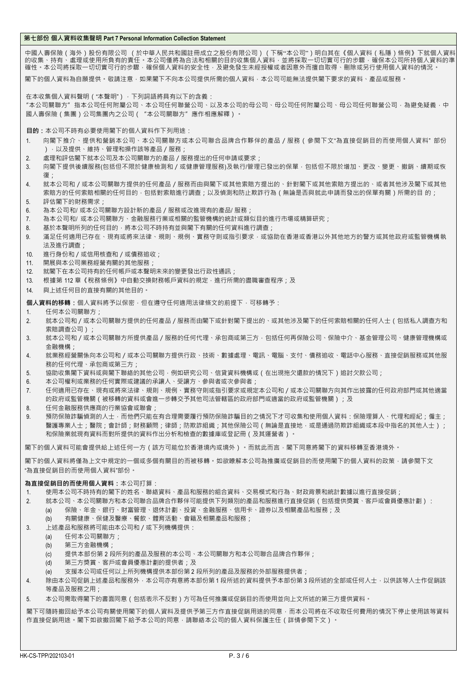## **第七部份 個人資料收集聲明 Part 7 Personal Information Collection Statement**

中國人壽保險(海外)股份有限公司 (於中華人民共和國註冊成立之股份有限公司)(下稱"本公司")明白其在《個人資料(私隱)條例》下就個人資料 的收集、持有、處理或使用所負有的責任。本公司僅將為合法和相關的目的收集個人資料,並將採取一切切實可行的步驟,確保本公司所持個人資料的準 確性。本公司將採取一切切實可行的步驟,確保個人資料的安全性,及避免發生未經授權或者因意外而擅自取得、刪除或另行使用個人資料的情況。

閣下的個人資料為自願提供。敬請注意,如果閣下不向本公司提供所需的個人資料,本公司可能無法提供閣下要求的資料、產品或服務。

在本收集個人資料聲明("本聲明"),下列詞語將具有以下的含義:

"本公司關聯方"指本公司任何附屬公司、本公司任何聯營公司、以及本公司的母公司、母公司任何附屬公司、母公司任何聯營公司,為避免疑義,中 國人壽保險(集團)公司集團內之公司("本公司關聯方"應作相應解釋)。

**目的:**本公司不時有必要使用閣下的個人資料作下列用途:

- 1. 向閣下推介、提供和營銷本公司、本公司關聯方或本公司聯合品牌合作夥伴的產品/服務(參閱下文"為直接促銷目的而使用個人資料" 部份 ),以及提供、維持、管理和操作該等產品/服務;
- 2. 處理和評估閣下就本公司及本公司關聯方的產品 / 服務提出的任何申請或要求;
- 3. 向閣下提供後續服務(包括但不限於健康檢測和/或健康管理服務)及執行/管理已發出的保單,包括但不限於增加、更改、變更、撤銷、續期或恢 復;
- 4. 就本公司和/或本公司關聯方提供的任何產品/服務而由與閣下或其他索賠方提出的、針對閣下或其他索賠方提出的、或者其他涉及閣下或其他 索賠方的任何索賠相關的任何目的,包括對索賠進行調查;以及偵測和防止欺詐行為(無論是否與就此申請而發出的保單有關)所需的目 的; 5. 評估閣下的財務需求;
- 
- 6. 為本公司和/ 或本公司關聯方設計新的產品/服務或改進現有的產品/ 服務;
- 7. 為本公司和/ 或本公司關聯方、金融服務行業或相關的監管機構的統計或類似目的進行市場或精算研究;
- 8. 基於本聲明所列的任何目的,將本公司不時持有並與閣下有關的任何資料進行調查;
- 9. 滿足任何適用已存在、現有或將來法律、規則、規例、實務守則或指引要求,或協助在香港或香港以外其他地方的警方或其他政府或監管機構執 法及進行調査;
- 10. 進行身份和/或信用核查和/或債務追收;
- 11. 開展與本公司業務經營有關的其他服務;
- 12. 就閣下在本公司持有的任何帳戶或本聲明未來的變更發出行政性通訊;
- 13. 根據第 112 [章《稅務條例》中](http://www.legislation.gov.hk/blis_pdf.nsf/6799165D2FEE3FA94825755E0033E532/BD597414B3970705482575EE003BEE80/%24FILE/CAP_112_c_b5.pdf)自動交換財務帳戶資料的規定,進行所需的盡職審查程序;及
- 14. 與上述任何目的直接有關的其他目的。

**個人資料的移轉:**個人資料將予以保密,但在遵守任何適用法律條文的前提下,可移轉予:

- 1. 任何本公司關聯方;
- 2. 就本公司和/或本公司關聯方提供的任何產品/服務而由閣下或針對閣下提出的、或其他涉及閣下的任何索賠相關的任何人士(包括私人調查方和 索賠調查公司);
- 3. 就本公司和/或本公司關聯方所提供產品/服務的任何代理、承包商或第三方,包括任何再保險公司、保險中介、基金管理公司、健康管理機構或 金融機構;
- 4. 就業務經營關係向本公司和/或本公司關聯方提供行政、技術、數據處理、電訊、電腦、支付、債務追收、電話中心服務、直接促銷服務或其他服 務的任何代理、承包商或第三方;
- 5. 協助收集閣下資料或與閣下聯絡的其他公司,例如研究公司、信貸資料機構或(在出現拖欠還款的情況下)追討欠款公司;
- 6. 本公司權利或業務的任何實際或建議的承讓人、受讓方、參與者或次參與者;
- 7. 任何適用已存在、現有或將來法律、規則、規例、實務守則或指引要求或規定本公司和/或本公司關聯方向其作出披露的任何政府部門或其他適當 的政府或監管機關(被移轉的資料或會進一步轉交予其他司法管轄區的政府部門或適當的政府或監管機關);及
- 8. 任何金融服務供應商的行業協會或聯會;
- 9. 預防保險詐騙偵測的人士,而他們只能在有合理需要履行預防保險詐騙目的之情況下才可收集和使用個人資料:保險理算人、代理和經紀;僱主; 醫護專業人士;醫院;會計師;財務顧問;律師;防欺詐組織;其他保險公司 (無論是直接地,或是通過防欺詐組織或本段中指名的其他人士 ); 和保險業就現有資料而對所提供的資料作出分析和檢查的數據庫或登記冊(及其運營者)。

閣下的個人資料可能會提供給上述任何一方(該方可能位於香港境內或境外)。而就此而言,閣下同意將閣下的資料移轉至香港境外。

閣下的個人資料將僅為上文中規定的一個或多個有關目的而被移轉。如欲瞭解本公司為推廣或促銷目的而使用閣下的個人資料的政策,請參閱下文 "為直接促銷目的而使用個人資料"部份。

## **為直接促銷目的而使用個人資料:**本公司打算:

- 1. 使用本公司不時持有的閣下的姓名、聯絡資料、產品和服務的組合資料、交易模式和行為、財政背景和統計數據以進行直接促銷;
- 2. 就本公司、本公司關聯方和本公司聯合品牌合作夥伴可能提供下列類別的產品和服務進行直接促銷(包括提供獎賞、客戶或會員優惠計劃):
	- (a) 保險、年金、銀行、財富管理、退休計劃、投資、金融服務、信用卡、證券以及相關產品和服務;及
	- (b) 有關健康、保健及醫療、餐飲、體育活動、會籍及相關產品和服務;
- 3. 上述產品和服務將可能由本公司和/或下列機構提供:
	- (a) 任何本公司關聯方;
	- (b) 第三方金融機構;
	- (c) 提供本部份第 2 段所列的產品及服務的本公司、本公司關聯方和本公司聯合品牌合作夥伴;
	- (d) 第三方獎賞、客戶或會員優惠計劃的提供者;及
	- (e) 支援本公司或任何以上所列機構提供本部份第 2 段所列的產品及服務的外部服務提供者;
- 4. 除由本公司促銷上述產品和服務外,本公司亦有意將本部份第1段所述的資料提供予本部份第3段所述的全部或任何人士,以供該等人士作促銷該 等產品及服務之用;
- 5. 本公司需取得閣下的書面同意(包括表示不反對)方可為任何推廣或促銷目的而使用並向上文所述的第三方提供資料。

閣下可隨時撤回給予本公司有關使用閣下的個人資料及提供予第三方作直接促銷用途的同意,而本公司將在不收取任何費用的情況下停止使用該等資料 作直接促銷用途。閣下如欲撤回閣下給予本公司的同意,請聯絡本公司的個人資料保護主任(詳情參閱下文)。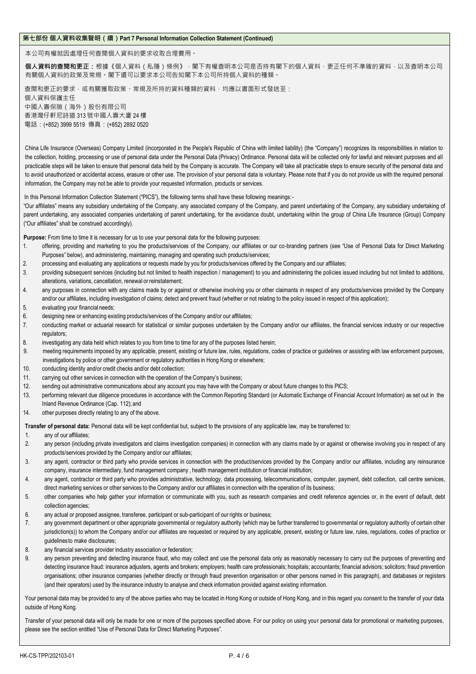## **第七部份 個人資料收集聲明(續)Part 7 Personal Information Collection Statement (Continued)**

本公司有權就因處理任何查閱個人資料的要求收取合理費用。

個**人資料的查閱和更正:**根據《個人資料(私隱)條例》 · 閣下有權查明本公司是否持有閣下的個人資料 · 更正任何不準確的資料 · 以及查明本公司 有關個人資料的政策及常規。閣下還可以要求本公司告知閣下本公司所持個人資料的種類。

查閱和更正的要求,或有關獲取政策、常規及所持的資料種類的資料,均應以書面形式發送至: 個人資料保護主任 中國人壽保險(海外)股份有限公司 香港灣仔軒尼詩道 313 號中國人壽大廈 24 樓 電話:(+852) 3999 5519 傳真:(+852) 2892 0520

China Life Insurance (Overseas) Company Limited (incorporated in the People's Republic of China with limited liability) (the "Company") recognizes its responsibilities in relation to the collection, holding, processing or use of personal data under the Personal Data (Privacy) Ordinance. Personal data will be collected only for lawful and relevant purposes and all practicable steps will be taken to ensure that personal data held by the Company is accurate. The Company will take all practicable steps to ensure security of the personal data and to avoid unauthorized or accidental access, erasure or other use. The provision of your personal data is voluntary. Please note that if you do not provide us with the required personal information, the Company may not be able to provide your requested information, products or services.

In this Personal Information Collection Statement ("PICS"), the following terms shall have these following meanings:-

"Our affiliates" means any subsidiary undertaking of the Company, any associated company of the Company, and parent undertaking of the Company, any subsidiary undertaking of parent undertaking, any associated companies undertaking of parent undertaking, for the avoidance doubt, undertaking within the group of China Life Insurance (Group) Company ("Our affiliates" shall be construed accordingly).

Purpose: From time to time it is necessary for us to use your personal data for the following purposes:

- 1. offering, providing and marketing to you the products/services of the Company, our affiliates or our co-branding partners (see "Use of Personal Data for Direct Marketing Purposes" below), and administering, maintaining, managing and operating such products/services;
- 2. processing and evaluating any applications or requests made by you for products/services offered by the Company and our affiliates;
- 3. providing subsequent services (including but not limited to health inspection / management) to you and administering the policies issued including but not limited to additions, alterations, variations, cancellation, renewal or reinstatement;
- 4. any purposes in connection with any claims made by or against or otherwise involving you or other claimants in respect of any products/services provided by the Company and/or our affiliates, including investigation of claims; detect and prevent fraud (whether or not relating to the policy issued in respect of this application);
- 5. evaluating your financial needs;
- 6. designing new or enhancing existing products/services of the Company and/or our affiliates;
- 7. conducting market or actuarial research for statistical or similar purposes undertaken by the Company and/or our affiliates, the financial services industry or our respective regulators:
- 8. investigating any data held which relates to you from time to time for any of the purposes listed herein;
- 9. meeting requirements imposed by any applicable, present, existing or future law, rules, regulations, codes of practice or guidelines or assisting with law enforcement purposes, investigations by police or other government or regulatory authorities in Hong Kong or elsewhere;
- 10. conducting identity and/or credit checks and/or debt collection;
- 11. carrying out other services in connection with the operation of the Company's business;
- 12. sending out administrative communications about any account you may have with the Company or about future changes to this PICS;
- 13. performing relevant due diligence procedures in accordance with the Common Reporting Standard (or Automatic Exchange of Financial Account Information) as set out in the Inland Revenue Ordinance (Cap. 112); and
- 14. other purposes directly relating to any of the above.

**Transfer of personal data:** Personal data will be kept confidential but, subject to the provisions of any applicable law, may be transferred to:

- 1. any of our affiliates;
- 2. any person (including private investigators and claims investigation companies) in connection with any claims made by or against or otherwise involving you in respect of any products/services provided by the Company and/or our affiliates;
- 3. any agent, contractor or third party who provide services in connection with the product/services provided by the Company and/or our affiliates, including any reinsurance company, insurance intermediary, fund management company, health management institution or financial institution;
- 4. any agent, contractor or third party who provides administrative, technology, data processing, telecommunications, computer, payment, debt collection, call centre services, direct marketing services or other services to the Company and/or our affiliates in connection with the operation of its business;
- 5. other companies who help gather your information or communicate with you, such as research companies and credit reference agencies or, in the event of default, debt collection agencies;
- 6. any actual or proposed assignee, transferee, participant or sub-participant of our rights or business;
- 7. any government department or other appropriate governmental or regulatory authority (which may be further transferred to governmental or regulatory authority of certain other jurisdiction(s)) to whom the Company and/or our affiliates are requested or required by any applicable, present, existing or future law, rules, regulations, codes of practice or guidelinesto make disclosures;
- 8. any financial services provider industry association or federation;
- 9. any person preventing and detecting insurance fraud, who may collect and use the personal data only as reasonably necessary to carry out the purposes of preventing and detecting insurance fraud: insurance adjusters, agents and brokers; employers; health care professionals; hospitals; accountants; financial advisors; solicitors; fraud prevention organisations; other insurance companies (whether directly or through fraud prevention organisation or other persons named in this paragraph), and databases or registers (and their operators) used by the insurance industry to analyse and check information provided against existing information.

Your personal data may be provided to any of the above parties who may be located in Hong Kong or outside of Hong Kong, and in this regard you consent to the transfer of your data outside of Hong Kong.

Transfer of your personal data will only be made for one or more of the purposes specified above. For our policy on using your personal data for promotional or marketing purposes, please see the section entitled "Use of Personal Data for Direct Marketing Purposes".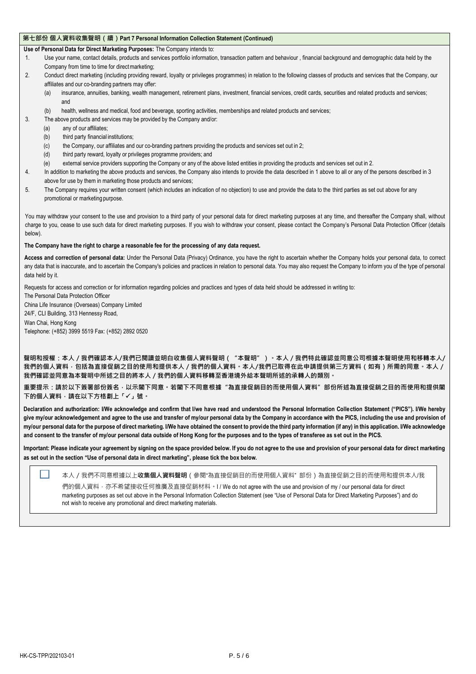## **第七部份 個人資料收集聲明(續)Part 7 Personal Information Collection Statement (Continued)**

**Use of Personal Data for Direct Marketing Purposes:** The Company intends to:

- 1. Use your name, contact details, products and services portfolio information, transaction pattern and behaviour , financial background and demographic data held by the Company from time to time for direct marketing;
- 2. Conduct direct marketing (including providing reward, loyalty or privileges programmes) in relation to the following classes of products and services that the Company, our affiliates and our co-branding partners may offer:
	- (a) insurance, annuities, banking, wealth management, retirement plans, investment, financial services, credit cards, securities and related products and services; and
	- (b) health, wellness and medical, food and beverage, sporting activities, memberships and related products and services;
- 3. The above products and services may be provided by the Company and/or:
	- (a) any of our affiliates;
	- (b) third party financial institutions;
	- (c) the Company, our affiliates and our co-branding partners providing the products and services set out in 2;
	- (d) third party reward, loyalty or privileges programme providers; and
	- (e) external service providers supporting the Company or any of the above listed entities in providing the products and services set out in 2.
- 4. In addition to marketing the above products and services, the Company also intends to provide the data described in 1 above to all or any of the persons described in 3 above for use by them in marketing those products and services;
- 5. The Company requires your written consent (which includes an indication of no objection) to use and provide the data to the third parties as set out above for any promotional or marketing purpose.

You may withdraw your consent to the use and provision to a third party of your personal data for direct marketing purposes at any time, and thereafter the Company shall, without charge to you, cease to use such data for direct marketing purposes. If you wish to withdraw your consent, please contact the Company's Personal Data Protection Officer (details below).

### **The Company have the right to charge a reasonable fee for the processing of any data request.**

**Access and correction of personal data:** Under the Personal Data (Privacy) Ordinance, you have the right to ascertain whether the Company holds your personal data, to correct any data that is inaccurate, and to ascertain the Company's policies and practices in relation to personal data. You may also request the Company to inform you of the type of personal data held by it.

Requests for access and correction or for information regarding policies and practices and types of data held should be addressed in writing to:

The Personal Data Protection Officer China Life Insurance (Overseas) Company Limited 24/F, CLI Building, 313 Hennessy Road, Wan Chai, Hong Kong Telephone: (+852) 3999 5519 Fax: (+852) 2892 0520

**聲明和授權:本人/我們確認本人/我們已閱讀並明白收集個人資料聲明("本聲明")。本人/我們特此確認並同意公司根據本聲明使用和移轉本人/ 我們的個人資料,包括為直接促銷之目的使用和提供本人/我們的個人資料。本人/我們已取得在此申請提供第三方資料(如有)所需的同意。本人/ 我們確認並同意為本聲明中所述之目的將本人/我們的個人資料移轉至香港境外給本聲明所述的承轉人的類別。**

**重要提示:請於以下簽署部份簽名,以示閣下同意。若閣下不同意根據"為直接促銷目的而使用個人資料"部份所述為直接促銷之目的而使用和提供閣 下的個人資料,請在以下方格劃上「」號。**

**Declaration and authorization: I/We acknowledge and confirm that I/we have read and understood the Personal Information Collection Statement ("PICS"). I/We hereby**  give my/our acknowledgement and agree to the use and transfer of my/our personal data by the Company in accordance with the PICS, including the use and provision of **my/our personal data for the purpose of direct marketing. I/We have obtained the consent to provide the third party information (if any) in this application. I/We acknowledge and consent to the transfer of my/our personal data outside of Hong Kong for the purposes and to the types of transferee as set out in the PICS.**

**Important: Please indicate your agreement by signing on the space provided below. If you do not agree to the use and provision of your personal data for direct marketing as set out in the section "Use of personal data in direct marketing", please tick the box below.**

本人/我們不同意根據以上**收集個人資料聲明**(參閱"為直接促銷目的而使用個人資料" 部份)為直接促銷之目的而使用和提供本人/我

們的個人資料,亦不希望接收任何推廣及直接促銷材料。I / We do not agree with the use and provision of my / our personal data for direct marketing purposes as set out above in the Personal Information Collection Statement (see "Use of Personal Data for Direct Marketing Purposes") and do not wish to receive any promotional and direct marketing materials.

 $\mathbf{L}$